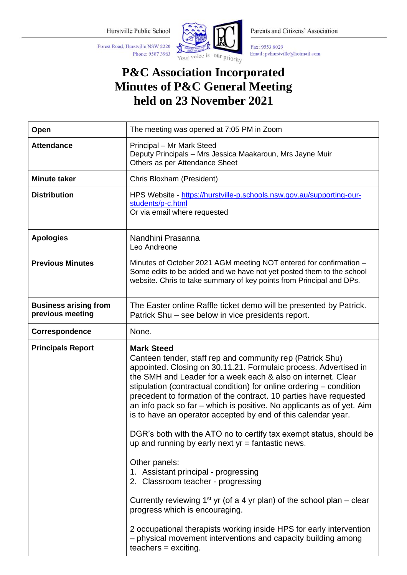Phone: 9587 3963

Forest Road, Hurstville NSW 2220



Parents and Citizens' Association

Fax: 9553 8029 Email: pchurstville@hotmail.com

## **P&C Association Incorporated Minutes of P&C General Meeting held on 23 November 2021**

| The meeting was opened at 7:05 PM in Zoom                                                                                                                                                                                                                                                                                                                                                                                                                                                                                                                                                                                                                                                                                                                                                                                                                                                                                    |
|------------------------------------------------------------------------------------------------------------------------------------------------------------------------------------------------------------------------------------------------------------------------------------------------------------------------------------------------------------------------------------------------------------------------------------------------------------------------------------------------------------------------------------------------------------------------------------------------------------------------------------------------------------------------------------------------------------------------------------------------------------------------------------------------------------------------------------------------------------------------------------------------------------------------------|
| Principal - Mr Mark Steed<br>Deputy Principals - Mrs Jessica Maakaroun, Mrs Jayne Muir<br>Others as per Attendance Sheet                                                                                                                                                                                                                                                                                                                                                                                                                                                                                                                                                                                                                                                                                                                                                                                                     |
| Chris Bloxham (President)                                                                                                                                                                                                                                                                                                                                                                                                                                                                                                                                                                                                                                                                                                                                                                                                                                                                                                    |
| HPS Website - https://hurstville-p.schools.nsw.gov.au/supporting-our-<br>students/p-c.html<br>Or via email where requested                                                                                                                                                                                                                                                                                                                                                                                                                                                                                                                                                                                                                                                                                                                                                                                                   |
| Nandhini Prasanna<br>Leo Andreone                                                                                                                                                                                                                                                                                                                                                                                                                                                                                                                                                                                                                                                                                                                                                                                                                                                                                            |
| Minutes of October 2021 AGM meeting NOT entered for confirmation -<br>Some edits to be added and we have not yet posted them to the school<br>website. Chris to take summary of key points from Principal and DPs.                                                                                                                                                                                                                                                                                                                                                                                                                                                                                                                                                                                                                                                                                                           |
| The Easter online Raffle ticket demo will be presented by Patrick.<br>Patrick Shu – see below in vice presidents report.                                                                                                                                                                                                                                                                                                                                                                                                                                                                                                                                                                                                                                                                                                                                                                                                     |
| None.                                                                                                                                                                                                                                                                                                                                                                                                                                                                                                                                                                                                                                                                                                                                                                                                                                                                                                                        |
| <b>Mark Steed</b><br>Canteen tender, staff rep and community rep (Patrick Shu)<br>appointed. Closing on 30.11.21. Formulaic process. Advertised in<br>the SMH and Leader for a week each & also on internet. Clear<br>stipulation (contractual condition) for online ordering - condition<br>precedent to formation of the contract. 10 parties have requested<br>an info pack so far - which is positive. No applicants as of yet. Aim<br>is to have an operator accepted by end of this calendar year.<br>DGR's both with the ATO no to certify tax exempt status, should be<br>up and running by early next $yr =$ fantastic news.<br>Other panels:<br>1. Assistant principal - progressing<br>2. Classroom teacher - progressing<br>Currently reviewing $1^{st}$ yr (of a 4 yr plan) of the school plan – clear<br>progress which is encouraging.<br>2 occupational therapists working inside HPS for early intervention |
|                                                                                                                                                                                                                                                                                                                                                                                                                                                                                                                                                                                                                                                                                                                                                                                                                                                                                                                              |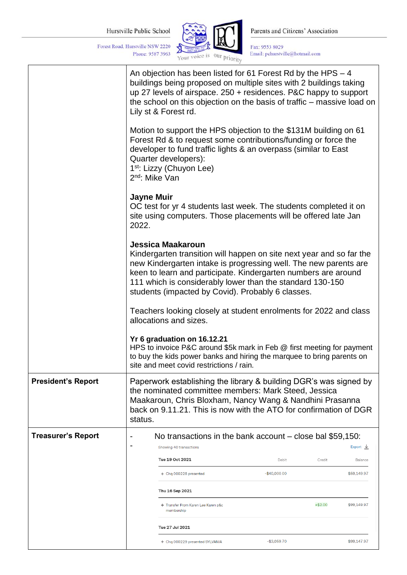Phone: 9587 3963

Forest Road, Hurstville NSW 2220



Parents and Citizens' Association

 $\begin{array}{l} \text{Fax: } 9553~8029 \\ \text{Email: }\text{pchurstville@hotmail.com} \end{array}$ 

|                           | An objection has been listed for 61 Forest Rd by the HPS - 4<br>buildings being proposed on multiple sites with 2 buildings taking                                                                                                                                                                                                                |                                                            |  |  |
|---------------------------|---------------------------------------------------------------------------------------------------------------------------------------------------------------------------------------------------------------------------------------------------------------------------------------------------------------------------------------------------|------------------------------------------------------------|--|--|
|                           | up 27 levels of airspace. 250 + residences. P&C happy to support<br>the school on this objection on the basis of traffic – massive load on<br>Lily st & Forest rd.                                                                                                                                                                                |                                                            |  |  |
|                           | Motion to support the HPS objection to the \$131M building on 61<br>Forest Rd & to request some contributions/funding or force the<br>developer to fund traffic lights & an overpass (similar to East<br>Quarter developers):<br>1 <sup>st</sup> : Lizzy (Chuyon Lee)<br>2 <sup>nd</sup> : Mike Van                                               |                                                            |  |  |
|                           | <b>Jayne Muir</b><br>OC test for yr 4 students last week. The students completed it on<br>site using computers. Those placements will be offered late Jan<br>2022.                                                                                                                                                                                |                                                            |  |  |
|                           | Jessica Maakaroun<br>Kindergarten transition will happen on site next year and so far the<br>new Kindergarten intake is progressing well. The new parents are<br>keen to learn and participate. Kindergarten numbers are around<br>111 which is considerably lower than the standard 130-150<br>students (impacted by Covid). Probably 6 classes. |                                                            |  |  |
|                           | Teachers looking closely at student enrolments for 2022 and class<br>allocations and sizes.                                                                                                                                                                                                                                                       |                                                            |  |  |
|                           | Yr 6 graduation on 16.12.21<br>HPS to invoice P&C around \$5k mark in Feb @ first meeting for payment<br>to buy the kids power banks and hiring the marquee to bring parents on<br>site and meet covid restrictions / rain.                                                                                                                       |                                                            |  |  |
| <b>President's Report</b> | Paperwork establishing the library & building DGR's was signed by<br>the nominated committee members: Mark Steed, Jessica<br>Maakaroun, Chris Bloxham, Nancy Wang & Nandhini Prasanna<br>back on 9.11.21. This is now with the ATO for confirmation of DGR<br>status.                                                                             |                                                            |  |  |
| <b>Treasurer's Report</b> | No transactions in the bank account - close bal \$59,150:                                                                                                                                                                                                                                                                                         |                                                            |  |  |
|                           | Showing 40 transactions<br>Tue 19 Oct 2021                                                                                                                                                                                                                                                                                                        | Export $\frac{1}{2}$                                       |  |  |
|                           | + Chq 000228 presented                                                                                                                                                                                                                                                                                                                            | Debit<br>Credit<br>Balance<br>$-$40,000.00$<br>\$59,149.97 |  |  |
|                           | Thu 16 Sep 2021                                                                                                                                                                                                                                                                                                                                   |                                                            |  |  |
|                           | + Transfer From Karen Lee Karen p&c                                                                                                                                                                                                                                                                                                               | $+ $2.00$<br>\$99,149.97                                   |  |  |
|                           | membership<br>Tue 27 Jul 2021                                                                                                                                                                                                                                                                                                                     |                                                            |  |  |
|                           | + Chq 000229 presented SYLVANIA                                                                                                                                                                                                                                                                                                                   | $-$3,059.70$<br>\$99,147.97                                |  |  |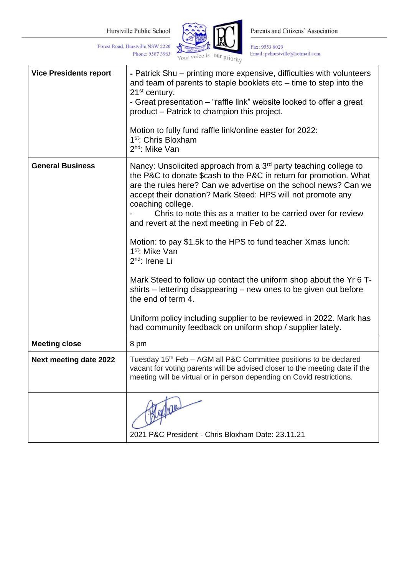Phone: 9587 3963

Forest Road, Hurstville NSW 2220



Parents and Citizens' Association

 $\begin{array}{l} \text{Fax: } 9553~8029 \\ \text{Email: }\text{pchurstville@hotmail.com} \end{array}$ 

| <b>Vice Presidents report</b> | - Patrick Shu – printing more expensive, difficulties with volunteers<br>and team of parents to staple booklets $etc$ – time to step into the<br>21 <sup>st</sup> century.<br>- Great presentation – "raffle link" website looked to offer a great<br>product – Patrick to champion this project.<br>Motion to fully fund raffle link/online easter for 2022:<br>1 <sup>st</sup> : Chris Bloxham<br>2 <sup>nd</sup> : Mike Van                                                                                                                                                                                                                                                                                                                                                                                                                           |
|-------------------------------|----------------------------------------------------------------------------------------------------------------------------------------------------------------------------------------------------------------------------------------------------------------------------------------------------------------------------------------------------------------------------------------------------------------------------------------------------------------------------------------------------------------------------------------------------------------------------------------------------------------------------------------------------------------------------------------------------------------------------------------------------------------------------------------------------------------------------------------------------------|
| <b>General Business</b>       | Nancy: Unsolicited approach from a 3 <sup>rd</sup> party teaching college to<br>the P&C to donate \$cash to the P&C in return for promotion. What<br>are the rules here? Can we advertise on the school news? Can we<br>accept their donation? Mark Steed: HPS will not promote any<br>coaching college.<br>Chris to note this as a matter to be carried over for review<br>and revert at the next meeting in Feb of 22.<br>Motion: to pay \$1.5k to the HPS to fund teacher Xmas lunch:<br>1 <sup>st</sup> : Mike Van<br>2 <sup>nd</sup> : Irene Li<br>Mark Steed to follow up contact the uniform shop about the Yr 6 T-<br>shirts – lettering disappearing – new ones to be given out before<br>the end of term 4.<br>Uniform policy including supplier to be reviewed in 2022. Mark has<br>had community feedback on uniform shop / supplier lately. |
| <b>Meeting close</b>          | 8 pm                                                                                                                                                                                                                                                                                                                                                                                                                                                                                                                                                                                                                                                                                                                                                                                                                                                     |
| <b>Next meeting date 2022</b> | Tuesday 15 <sup>th</sup> Feb - AGM all P&C Committee positions to be declared<br>vacant for voting parents will be advised closer to the meeting date if the<br>meeting will be virtual or in person depending on Covid restrictions.                                                                                                                                                                                                                                                                                                                                                                                                                                                                                                                                                                                                                    |
|                               | 2021 P&C President - Chris Bloxham Date: 23.11.21                                                                                                                                                                                                                                                                                                                                                                                                                                                                                                                                                                                                                                                                                                                                                                                                        |